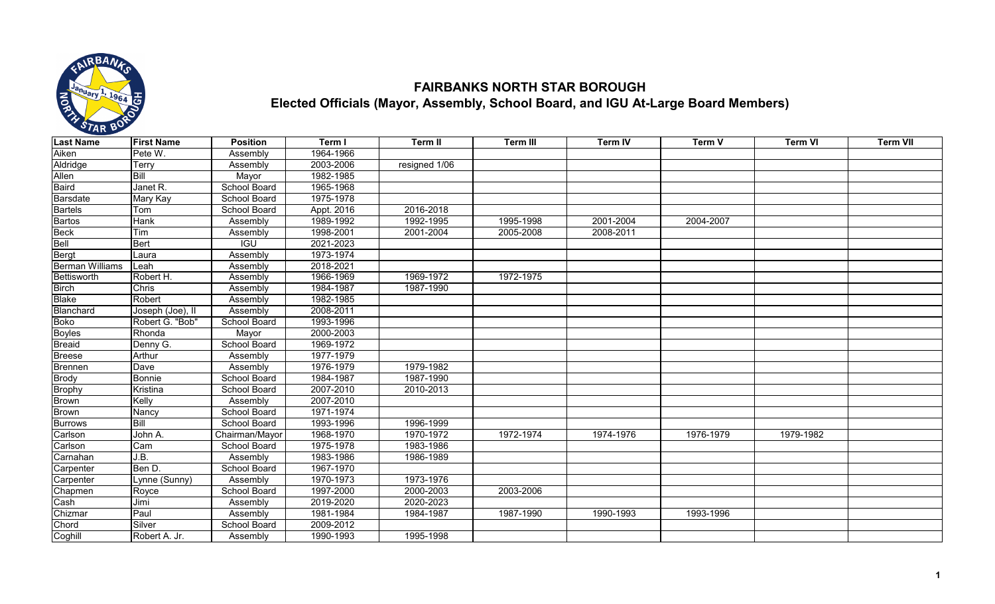

## **FAIRBANKS NORTH STAR BOROUGH Elected Officials (Mayor, Assembly, School Board, and IGU At-Large Board Members)**

| <b>Last Name</b>       | <b>First Name</b> | <b>Position</b>     | Term I     | Term II       | <b>Term III</b> | <b>Term IV</b> | Term V    | <b>Term VI</b> | <b>Term VII</b> |
|------------------------|-------------------|---------------------|------------|---------------|-----------------|----------------|-----------|----------------|-----------------|
| Aiken                  | Pete W.           | Assembly            | 1964-1966  |               |                 |                |           |                |                 |
| Aldridge               | Terry             | Assembly            | 2003-2006  | resigned 1/06 |                 |                |           |                |                 |
| Allen                  | Bill              | Mayor               | 1982-1985  |               |                 |                |           |                |                 |
| Baird                  | Janet R.          | School Board        | 1965-1968  |               |                 |                |           |                |                 |
| Barsdate               | Mary Kay          | School Board        | 1975-1978  |               |                 |                |           |                |                 |
| <b>Bartels</b>         | Tom               | School Board        | Appt. 2016 | 2016-2018     |                 |                |           |                |                 |
| <b>Bartos</b>          | Hank              | Assembly            | 1989-1992  | 1992-1995     | 1995-1998       | 2001-2004      | 2004-2007 |                |                 |
| <b>Beck</b>            | Tim               | Assembly            | 1998-2001  | 2001-2004     | 2005-2008       | 2008-2011      |           |                |                 |
| Bell                   | Bert              | $\overline{IGU}$    | 2021-2023  |               |                 |                |           |                |                 |
| Bergt                  | Laura             | Assembly            | 1973-1974  |               |                 |                |           |                |                 |
| <b>Berman Williams</b> | Leah              | Assembly            | 2018-2021  |               |                 |                |           |                |                 |
| Bettisworth            | Robert H.         | Assembly            | 1966-1969  | 1969-1972     | 1972-1975       |                |           |                |                 |
| <b>Birch</b>           | Chris             | Assembly            | 1984-1987  | 1987-1990     |                 |                |           |                |                 |
| <b>Blake</b>           | Robert            | Assembly            | 1982-1985  |               |                 |                |           |                |                 |
| Blanchard              | Joseph (Joe), II  | Assembly            | 2008-2011  |               |                 |                |           |                |                 |
| <b>Boko</b>            | Robert G. "Bob"   | School Board        | 1993-1996  |               |                 |                |           |                |                 |
| <b>Boyles</b>          | Rhonda            | Mayor               | 2000-2003  |               |                 |                |           |                |                 |
| Breaid                 | Denny G.          | School Board        | 1969-1972  |               |                 |                |           |                |                 |
| <b>Breese</b>          | Arthur            | Assembly            | 1977-1979  |               |                 |                |           |                |                 |
| <b>Brennen</b>         | Dave              | Assembly            | 1976-1979  | 1979-1982     |                 |                |           |                |                 |
| <b>Brody</b>           | <b>Bonnie</b>     | School Board        | 1984-1987  | 1987-1990     |                 |                |           |                |                 |
| <b>Brophy</b>          | Kristina          | School Board        | 2007-2010  | 2010-2013     |                 |                |           |                |                 |
| Brown                  | Kelly             | Assembly            | 2007-2010  |               |                 |                |           |                |                 |
| <b>Brown</b>           | Nancy             | School Board        | 1971-1974  |               |                 |                |           |                |                 |
| <b>Burrows</b>         | Bill              | School Board        | 1993-1996  | 1996-1999     |                 |                |           |                |                 |
| Carlson                | John A.           | Chairman/Mayor      | 1968-1970  | 1970-1972     | 1972-1974       | 1974-1976      | 1976-1979 | 1979-1982      |                 |
| Carlson                | Cam               | <b>School Board</b> | 1975-1978  | 1983-1986     |                 |                |           |                |                 |
| Carnahan               | J.B.              | Assembly            | 1983-1986  | 1986-1989     |                 |                |           |                |                 |
| Carpenter              | Ben D.            | School Board        | 1967-1970  |               |                 |                |           |                |                 |
| Carpenter              | Lynne (Sunny)     | Assembly            | 1970-1973  | 1973-1976     |                 |                |           |                |                 |
| Chapmen                | Royce             | School Board        | 1997-2000  | 2000-2003     | 2003-2006       |                |           |                |                 |
| Cash                   | Jimi              | Assembly            | 2019-2020  | 2020-2023     |                 |                |           |                |                 |
| Chizmar                | Paul              | Assembly            | 1981-1984  | 1984-1987     | 1987-1990       | 1990-1993      | 1993-1996 |                |                 |
| Chord                  | Silver            | <b>School Board</b> | 2009-2012  |               |                 |                |           |                |                 |
| Coghill                | Robert A. Jr.     | Assembly            | 1990-1993  | 1995-1998     |                 |                |           |                |                 |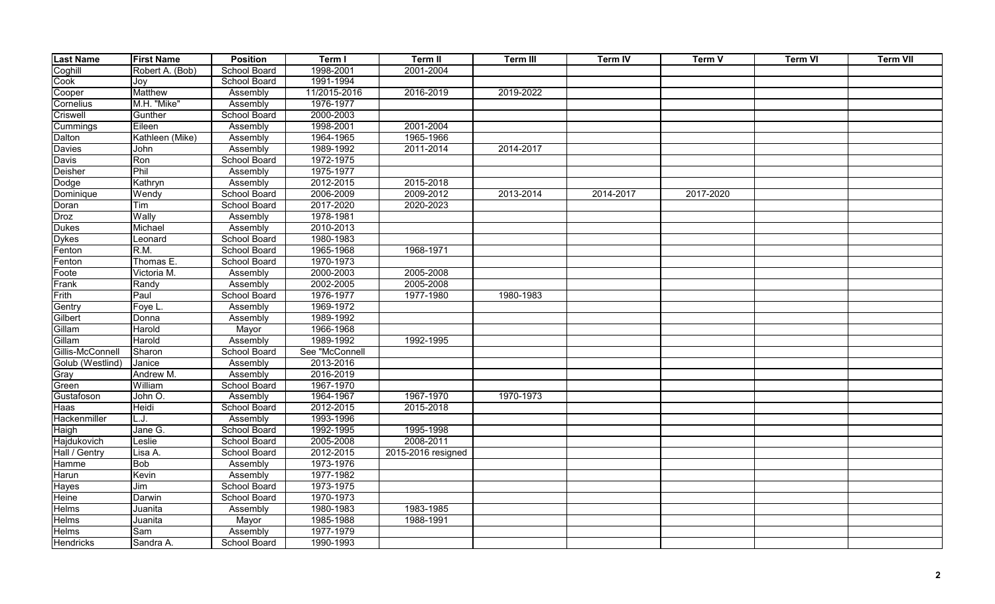| <b>Last Name</b> | <b>First Name</b> | <b>Position</b>     | Term I         | Term II            | <b>Term III</b> | <b>Term IV</b> | Term V    | <b>Term VI</b> | <b>Term VII</b> |
|------------------|-------------------|---------------------|----------------|--------------------|-----------------|----------------|-----------|----------------|-----------------|
| Coghill          | Robert A. (Bob)   | School Board        | 1998-2001      | 2001-2004          |                 |                |           |                |                 |
| Cook             | Joy               | School Board        | 1991-1994      |                    |                 |                |           |                |                 |
| Cooper           | Matthew           | Assembly            | 11/2015-2016   | 2016-2019          | 2019-2022       |                |           |                |                 |
| Cornelius        | M.H. "Mike"       | Assembly            | 1976-1977      |                    |                 |                |           |                |                 |
| Criswell         | Gunther           | School Board        | 2000-2003      |                    |                 |                |           |                |                 |
| Cummings         | Eileen            | Assembly            | 1998-2001      | 2001-2004          |                 |                |           |                |                 |
| Dalton           | Kathleen (Mike)   | Assembly            | 1964-1965      | 1965-1966          |                 |                |           |                |                 |
| Davies           | John              | Assembly            | 1989-1992      | 2011-2014          | 2014-2017       |                |           |                |                 |
| Davis            | Ron               | School Board        | 1972-1975      |                    |                 |                |           |                |                 |
| Deisher          | Phil              | Assembly            | 1975-1977      |                    |                 |                |           |                |                 |
| Dodge            | Kathryn           | Assembly            | 2012-2015      | 2015-2018          |                 |                |           |                |                 |
| Dominique        | Wendy             | School Board        | 2006-2009      | 2009-2012          | 2013-2014       | 2014-2017      | 2017-2020 |                |                 |
| Doran            | Tim               | School Board        | 2017-2020      | 2020-2023          |                 |                |           |                |                 |
| Droz             | Wally             | Assembly            | 1978-1981      |                    |                 |                |           |                |                 |
| <b>Dukes</b>     | Michael           | Assembly            | 2010-2013      |                    |                 |                |           |                |                 |
| <b>Dykes</b>     | Leonard           | School Board        | 1980-1983      |                    |                 |                |           |                |                 |
| Fenton           | R.M.              | <b>School Board</b> | 1965-1968      | 1968-1971          |                 |                |           |                |                 |
| Fenton           | Thomas E.         | School Board        | 1970-1973      |                    |                 |                |           |                |                 |
| Foote            | Victoria M.       | Assembly            | 2000-2003      | 2005-2008          |                 |                |           |                |                 |
| Frank            | Randy             | Assembly            | 2002-2005      | 2005-2008          |                 |                |           |                |                 |
| Frith            | Paul              | School Board        | 1976-1977      | 1977-1980          | 1980-1983       |                |           |                |                 |
| Gentry           | Foye L.           | Assembly            | 1969-1972      |                    |                 |                |           |                |                 |
| Gilbert          | Donna             | Assembly            | 1989-1992      |                    |                 |                |           |                |                 |
| Gillam           | Harold            | Mayor               | 1966-1968      |                    |                 |                |           |                |                 |
| Gillam           | Harold            | Assembly            | 1989-1992      | 1992-1995          |                 |                |           |                |                 |
| Gillis-McConnell | Sharon            | School Board        | See "McConnell |                    |                 |                |           |                |                 |
| Golub (Westlind) | Janice            | Assembly            | 2013-2016      |                    |                 |                |           |                |                 |
| Gray             | Andrew M.         | Assembly            | 2016-2019      |                    |                 |                |           |                |                 |
| Green            | William           | School Board        | 1967-1970      |                    |                 |                |           |                |                 |
| Gustafoson       | John O.           | Assembly            | 1964-1967      | 1967-1970          | 1970-1973       |                |           |                |                 |
| Haas             | Heidi             | School Board        | 2012-2015      | 2015-2018          |                 |                |           |                |                 |
| Hackenmiller     | ⊥.J.              | Assembly            | 1993-1996      |                    |                 |                |           |                |                 |
| Haigh            | Jane G.           | School Board        | 1992-1995      | 1995-1998          |                 |                |           |                |                 |
| Hajdukovich      | Leslie            | School Board        | 2005-2008      | 2008-2011          |                 |                |           |                |                 |
| Hall / Gentry    | Lisa A.           | School Board        | 2012-2015      | 2015-2016 resigned |                 |                |           |                |                 |
| Hamme            | <b>Bob</b>        | Assembly            | 1973-1976      |                    |                 |                |           |                |                 |
| Harun            | Kevin             | Assembly            | 1977-1982      |                    |                 |                |           |                |                 |
| Hayes            | Jim               | School Board        | 1973-1975      |                    |                 |                |           |                |                 |
| Heine            | <b>Darwin</b>     | School Board        | 1970-1973      |                    |                 |                |           |                |                 |
| <b>Helms</b>     | Juanita           | Assembly            | 1980-1983      | 1983-1985          |                 |                |           |                |                 |
| <b>Helms</b>     | Juanita           | Mayor               | 1985-1988      | 1988-1991          |                 |                |           |                |                 |
| <b>Helms</b>     | Sam               | Assembly            | 1977-1979      |                    |                 |                |           |                |                 |
| <b>Hendricks</b> | Sandra A.         | School Board        | 1990-1993      |                    |                 |                |           |                |                 |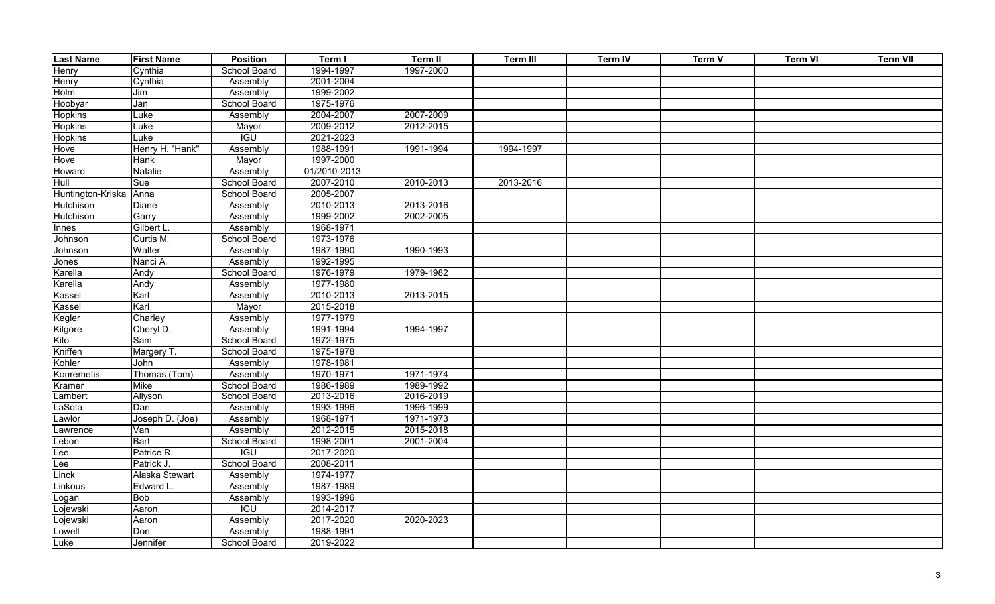| <b>Last Name</b>        | <b>First Name</b> | <b>Position</b>     | Term I       | Term II   | Term III  | <b>Term IV</b> | Term V | <b>Term VI</b> | <b>Term VII</b> |
|-------------------------|-------------------|---------------------|--------------|-----------|-----------|----------------|--------|----------------|-----------------|
| Henry                   | Cynthia           | School Board        | 1994-1997    | 1997-2000 |           |                |        |                |                 |
| Henry                   | Cynthia           | Assembly            | 2001-2004    |           |           |                |        |                |                 |
| Holm                    | Jim               | Assembly            | 1999-2002    |           |           |                |        |                |                 |
| Hoobyar                 | Jan               | <b>School Board</b> | 1975-1976    |           |           |                |        |                |                 |
| <b>Hopkins</b>          | Luke              | Assembly            | 2004-2007    | 2007-2009 |           |                |        |                |                 |
| Hopkins                 | Luke              | Mayor               | 2009-2012    | 2012-2015 |           |                |        |                |                 |
| <b>Hopkins</b>          | Luke              | <b>IGU</b>          | 2021-2023    |           |           |                |        |                |                 |
| Hove                    | Henry H. "Hank"   | Assembly            | 1988-1991    | 1991-1994 | 1994-1997 |                |        |                |                 |
| Hove                    | Hank              | Mayor               | 1997-2000    |           |           |                |        |                |                 |
| Howard                  | <b>Natalie</b>    | Assembly            | 01/2010-2013 |           |           |                |        |                |                 |
| Hull                    | Sue               | School Board        | 2007-2010    | 2010-2013 | 2013-2016 |                |        |                |                 |
| Huntington-Kriska       | Anna              | School Board        | 2005-2007    |           |           |                |        |                |                 |
| Hutchison               | Diane             | Assembly            | 2010-2013    | 2013-2016 |           |                |        |                |                 |
| Hutchison               | Garry             | Assembly            | 1999-2002    | 2002-2005 |           |                |        |                |                 |
| Innes                   | Gilbert L         | Assembly            | 1968-1971    |           |           |                |        |                |                 |
| Johnson                 | Curtis M.         | School Board        | 1973-1976    |           |           |                |        |                |                 |
| Johnson                 | Walter            | Assembly            | 1987-1990    | 1990-1993 |           |                |        |                |                 |
| Jones                   | Nanci A.          | Assembly            | 1992-1995    |           |           |                |        |                |                 |
| Karella                 | Andy              | School Board        | 1976-1979    | 1979-1982 |           |                |        |                |                 |
| Karella                 | Andy              | Assembly            | 1977-1980    |           |           |                |        |                |                 |
| Kassel                  | Karl              | Assembly            | 2010-2013    | 2013-2015 |           |                |        |                |                 |
| Kassel                  | Karl              | Mayor               | 2015-2018    |           |           |                |        |                |                 |
| Kegler                  | Charley           | Assembly            | 1977-1979    |           |           |                |        |                |                 |
| Kilgore                 | Cheryl D.         | Assembly            | 1991-1994    | 1994-1997 |           |                |        |                |                 |
| Kito                    | Sam               | School Board        | 1972-1975    |           |           |                |        |                |                 |
| Kniffen                 | Margery T.        | School Board        | 1975-1978    |           |           |                |        |                |                 |
| Kohler                  | John              | Assembly            | 1978-1981    |           |           |                |        |                |                 |
| Kouremetis              | Thomas (Tom)      | Assembly            | 1970-1971    | 1971-1974 |           |                |        |                |                 |
| Kramer                  | <b>Mike</b>       | School Board        | 1986-1989    | 1989-1992 |           |                |        |                |                 |
| Lambert                 | Allyson           | School Board        | 2013-2016    | 2016-2019 |           |                |        |                |                 |
| LaSota                  | Dan               | Assembly            | 1993-1996    | 1996-1999 |           |                |        |                |                 |
| Lawlor                  | Joseph D. (Joe)   | Assembly            | 1968-1971    | 1971-1973 |           |                |        |                |                 |
| Lawrence                | Van               | Assembly            | 2012-2015    | 2015-2018 |           |                |        |                |                 |
| Lebon                   | <b>Bart</b>       | School Board        | 1998-2001    | 2001-2004 |           |                |        |                |                 |
| Lee                     | Patrice R.        | <b>IGU</b>          | 2017-2020    |           |           |                |        |                |                 |
| $\overline{\text{Lee}}$ | Patrick J.        | School Board        | 2008-2011    |           |           |                |        |                |                 |
| Linck                   | Alaska Stewart    | Assembly            | 1974-1977    |           |           |                |        |                |                 |
| Linkous                 | Edward L.         | Assembly            | 1987-1989    |           |           |                |        |                |                 |
| Logan                   | Bob               | Assembly            | 1993-1996    |           |           |                |        |                |                 |
| Lojewski                | Aaron             | <b>IGU</b>          | 2014-2017    |           |           |                |        |                |                 |
| Lojewski                | Aaron             | Assembly            | 2017-2020    | 2020-2023 |           |                |        |                |                 |
| Lowell                  | Don               | Assembly            | 1988-1991    |           |           |                |        |                |                 |
| Luke                    | Jennifer          | <b>School Board</b> | 2019-2022    |           |           |                |        |                |                 |
|                         |                   |                     |              |           |           |                |        |                |                 |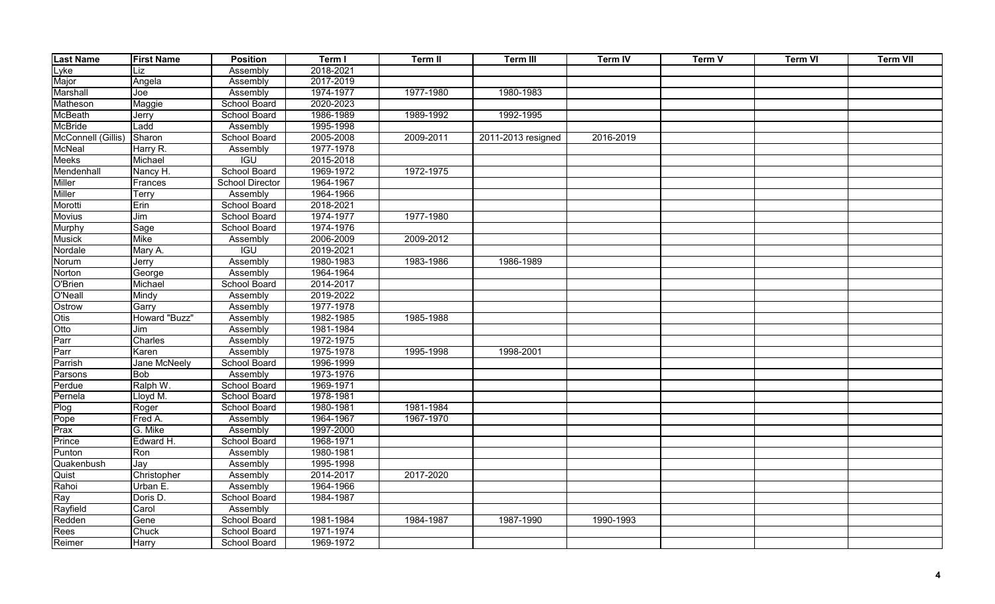| <b>Last Name</b>   | <b>First Name</b>       | <b>Position</b>        | Term I    | Term II   | <b>Term III</b>    | <b>Term IV</b> | Term V | <b>Term VI</b> | <b>Term VII</b> |
|--------------------|-------------------------|------------------------|-----------|-----------|--------------------|----------------|--------|----------------|-----------------|
| Lyke               | Liz                     | Assembly               | 2018-2021 |           |                    |                |        |                |                 |
| Major              | Angela                  | Assembly               | 2017-2019 |           |                    |                |        |                |                 |
| Marshall           | $\overline{\text{Joe}}$ | Assembly               | 1974-1977 | 1977-1980 | 1980-1983          |                |        |                |                 |
| Matheson           | Maggie                  | School Board           | 2020-2023 |           |                    |                |        |                |                 |
| <b>McBeath</b>     | Jerry                   | School Board           | 1986-1989 | 1989-1992 | 1992-1995          |                |        |                |                 |
| <b>McBride</b>     | Ladd                    | Assembly               | 1995-1998 |           |                    |                |        |                |                 |
| McConnell (Gillis) | Sharon                  | School Board           | 2005-2008 | 2009-2011 | 2011-2013 resigned | 2016-2019      |        |                |                 |
| McNeal             | Harry R.                | Assembly               | 1977-1978 |           |                    |                |        |                |                 |
| Meeks              | Michael                 | <b>IGU</b>             | 2015-2018 |           |                    |                |        |                |                 |
| Mendenhall         | Nancy H.                | <b>School Board</b>    | 1969-1972 | 1972-1975 |                    |                |        |                |                 |
| <b>Miller</b>      | Frances                 | <b>School Director</b> | 1964-1967 |           |                    |                |        |                |                 |
| <b>Miller</b>      | Terry                   | Assembly               | 1964-1966 |           |                    |                |        |                |                 |
| Morotti            | Erin                    | School Board           | 2018-2021 |           |                    |                |        |                |                 |
| <b>Movius</b>      | Jim                     | School Board           | 1974-1977 | 1977-1980 |                    |                |        |                |                 |
| Murphy             | Sage                    | <b>School Board</b>    | 1974-1976 |           |                    |                |        |                |                 |
| <b>Musick</b>      | <b>Mike</b>             | Assembly               | 2006-2009 | 2009-2012 |                    |                |        |                |                 |
| Nordale            | Mary A.                 | IGU                    | 2019-2021 |           |                    |                |        |                |                 |
| Norum              | Jerry                   | Assembly               | 1980-1983 | 1983-1986 | 1986-1989          |                |        |                |                 |
| Norton             | George                  | Assembly               | 1964-1964 |           |                    |                |        |                |                 |
| O'Brien            | Michael                 | School Board           | 2014-2017 |           |                    |                |        |                |                 |
| O'Neall            | Mindy                   | Assembly               | 2019-2022 |           |                    |                |        |                |                 |
| Ostrow             | Garry                   | Assembly               | 1977-1978 |           |                    |                |        |                |                 |
| Otis               | Howard "Buzz"           | Assembly               | 1982-1985 | 1985-1988 |                    |                |        |                |                 |
| Otto               | Jim                     | Assembly               | 1981-1984 |           |                    |                |        |                |                 |
| Parr               | Charles                 | Assembly               | 1972-1975 |           |                    |                |        |                |                 |
| Parr               | Karen                   | Assembly               | 1975-1978 | 1995-1998 | 1998-2001          |                |        |                |                 |
| Parrish            | Jane McNeely            | <b>School Board</b>    | 1996-1999 |           |                    |                |        |                |                 |
| Parsons            | <b>Bob</b>              | Assembly               | 1973-1976 |           |                    |                |        |                |                 |
| Perdue             | Ralph W.                | School Board           | 1969-1971 |           |                    |                |        |                |                 |
| Pernela            | Lloyd M.                | School Board           | 1978-1981 |           |                    |                |        |                |                 |
| Plog               | Roger                   | School Board           | 1980-1981 | 1981-1984 |                    |                |        |                |                 |
| Pope               | Fred A.                 | Assembly               | 1964-1967 | 1967-1970 |                    |                |        |                |                 |
| Prax               | G. Mike                 | Assembly               | 1997-2000 |           |                    |                |        |                |                 |
| Prince             | Edward H.               | School Board           | 1968-1971 |           |                    |                |        |                |                 |
| Punton             | Ron                     | Assembly               | 1980-1981 |           |                    |                |        |                |                 |
| Quakenbush         | Jay                     | Assembly               | 1995-1998 |           |                    |                |        |                |                 |
| Quist              | Christopher             | Assembly               | 2014-2017 | 2017-2020 |                    |                |        |                |                 |
| Rahoi              | Urban E.                | Assembly               | 1964-1966 |           |                    |                |        |                |                 |
| Ray                | Doris D.                | School Board           | 1984-1987 |           |                    |                |        |                |                 |
| Rayfield           | Carol                   | Assembly               |           |           |                    |                |        |                |                 |
| Redden             | Gene                    | School Board           | 1981-1984 | 1984-1987 | 1987-1990          | 1990-1993      |        |                |                 |
| Rees               | Chuck                   | School Board           | 1971-1974 |           |                    |                |        |                |                 |
| Reimer             | Harry                   | School Board           | 1969-1972 |           |                    |                |        |                |                 |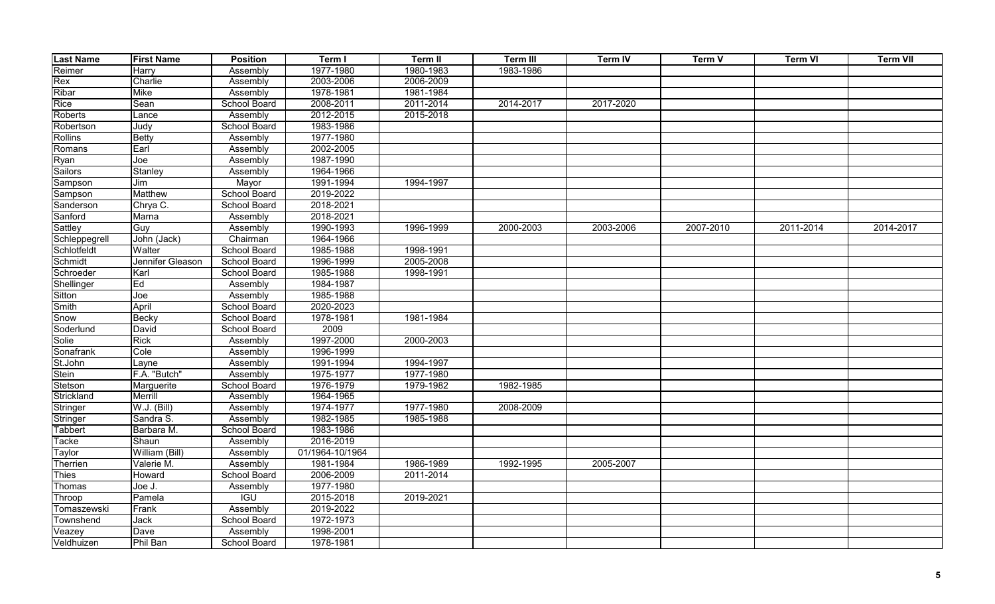| <b>Last Name</b> | <b>First Name</b> | <b>Position</b> | Term I          | Term II   | Term III  | <b>Term IV</b> | Term V    | <b>Term VI</b> | <b>Term VII</b> |
|------------------|-------------------|-----------------|-----------------|-----------|-----------|----------------|-----------|----------------|-----------------|
| Reimer           | Harry             | Assembly        | 1977-1980       | 1980-1983 | 1983-1986 |                |           |                |                 |
| Rex              | Charlie           | Assembly        | 2003-2006       | 2006-2009 |           |                |           |                |                 |
| Ribar            | <b>Mike</b>       | Assembly        | 1978-1981       | 1981-1984 |           |                |           |                |                 |
| Rice             | Sean              | School Board    | 2008-2011       | 2011-2014 | 2014-2017 | 2017-2020      |           |                |                 |
| Roberts          | Lance             | Assembly        | 2012-2015       | 2015-2018 |           |                |           |                |                 |
| Robertson        | Judy              | School Board    | 1983-1986       |           |           |                |           |                |                 |
| <b>Rollins</b>   | <b>Betty</b>      | Assembly        | 1977-1980       |           |           |                |           |                |                 |
| Romans           | Earl              | Assembly        | 2002-2005       |           |           |                |           |                |                 |
| Ryan             | Joe               | Assembly        | 1987-1990       |           |           |                |           |                |                 |
| <b>Sailors</b>   | Stanley           | Assembly        | 1964-1966       |           |           |                |           |                |                 |
| Sampson          | Jim               | Mayor           | 1991-1994       | 1994-1997 |           |                |           |                |                 |
| Sampson          | Matthew           | School Board    | 2019-2022       |           |           |                |           |                |                 |
| Sanderson        | Chrya C.          | School Board    | 2018-2021       |           |           |                |           |                |                 |
| Sanford          | Marna             | Assembly        | 2018-2021       |           |           |                |           |                |                 |
| Sattley          | Guy               | Assembly        | 1990-1993       | 1996-1999 | 2000-2003 | 2003-2006      | 2007-2010 | 2011-2014      | 2014-2017       |
| Schleppegrell    | John (Jack)       | Chairman        | 1964-1966       |           |           |                |           |                |                 |
| Schlotfeldt      | Walter            | School Board    | 1985-1988       | 1998-1991 |           |                |           |                |                 |
| Schmidt          | Jennifer Gleason  | School Board    | 1996-1999       | 2005-2008 |           |                |           |                |                 |
| Schroeder        | Karl              | School Board    | 1985-1988       | 1998-1991 |           |                |           |                |                 |
| Shellinger       | Ed                | Assembly        | 1984-1987       |           |           |                |           |                |                 |
| Sitton           | Joe               | Assembly        | 1985-1988       |           |           |                |           |                |                 |
| <b>Smith</b>     | April             | School Board    | 2020-2023       |           |           |                |           |                |                 |
| Snow             | <b>Becky</b>      | School Board    | 1978-1981       | 1981-1984 |           |                |           |                |                 |
| Soderlund        | David             | School Board    | 2009            |           |           |                |           |                |                 |
| Solie            | <b>Rick</b>       | Assembly        | 1997-2000       | 2000-2003 |           |                |           |                |                 |
| Sonafrank        | Cole              | Assembly        | 1996-1999       |           |           |                |           |                |                 |
| St.John          | Layne             | Assembly        | 1991-1994       | 1994-1997 |           |                |           |                |                 |
| Stein            | F.A. "Butch"      | Assembly        | 1975-1977       | 1977-1980 |           |                |           |                |                 |
| Stetson          | Marguerite        | School Board    | 1976-1979       | 1979-1982 | 1982-1985 |                |           |                |                 |
| Strickland       | Merrill           | Assembly        | 1964-1965       |           |           |                |           |                |                 |
| Stringer         | W.J. (Bill)       | Assembly        | 1974-1977       | 1977-1980 | 2008-2009 |                |           |                |                 |
| Stringer         | Sandra S.         | Assembly        | 1982-1985       | 1985-1988 |           |                |           |                |                 |
| <b>Tabbert</b>   | Barbara M.        | School Board    | 1983-1986       |           |           |                |           |                |                 |
| Tacke            | Shaun             | Assembly        | 2016-2019       |           |           |                |           |                |                 |
| Taylor           | William (Bill)    | Assembly        | 01/1964-10/1964 |           |           |                |           |                |                 |
| Therrien         | Valerie M.        | Assembly        | 1981-1984       | 1986-1989 | 1992-1995 | 2005-2007      |           |                |                 |
| <b>Thies</b>     | Howard            | School Board    | 2006-2009       | 2011-2014 |           |                |           |                |                 |
| Thomas           | Joe J.            | Assembly        | 1977-1980       |           |           |                |           |                |                 |
| Throop           | Pamela            | <b>IGU</b>      | 2015-2018       | 2019-2021 |           |                |           |                |                 |
| Tomaszewski      | Frank             | Assembly        | 2019-2022       |           |           |                |           |                |                 |
| Townshend        | Jack              | School Board    | 1972-1973       |           |           |                |           |                |                 |
| Veazey           | Dave              | Assembly        | 1998-2001       |           |           |                |           |                |                 |
| Veldhuizen       | Phil Ban          | School Board    | 1978-1981       |           |           |                |           |                |                 |